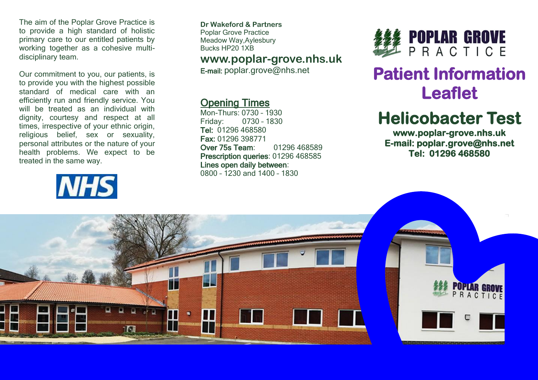The aim of the Poplar Grove Practice is to provide a high standard of holistic primary care to our entitled patients by working together as a cohesive multidisciplinary team.

Our commitment to you, our patients, is to provide you with the highest possible standard of medical care with an efficiently run and friendly service. You will be treated as an individual with dignity, courtesy and respect at all times, irrespective of your ethnic origin, religious belief, sex or sexuality, personal attributes or the nature of your health problems. We expect to be treated in the same way.

# **NHS**

**Dr Wakeford & Partners** Poplar Grove Practice Meadow Way,Aylesbury Bucks HP20 1XB

### **www.poplar-grove.nhs.uk**

E-mail: [poplar.grove@nhs.net](mailto:poplar.grove@nhs.net)

## Opening Times

Mon-Thurs: 0730 – 1930 Friday: 0730 – 1830 Tel: 01296 468580 Fax: 01296 398771 Over 75s Team: 01296 468589 Prescription queries: 01296 468585 Lines open daily between: 0800 – 1230 and 1400 – 1830



# **Patient Information Leaflet**

# **Helicobacter Test**

**www.poplar-grove.nhs.uk E-mail: poplar.grove@nhs.net Tel: 01296 468580**